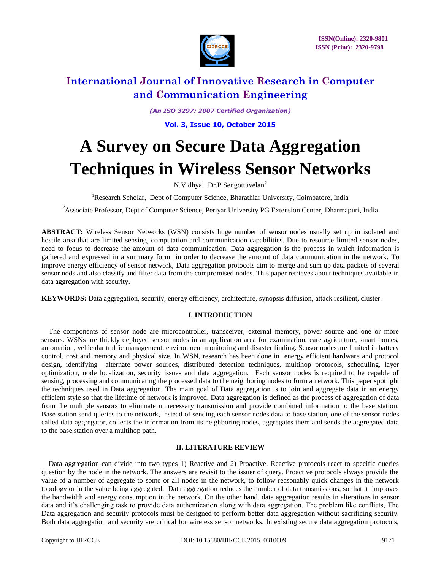

*(An ISO 3297: 2007 Certified Organization)*

**Vol. 3, Issue 10, October 2015**

# **A Survey on Secure Data Aggregation Techniques in Wireless Sensor Networks**

N.Vidhya<sup>1</sup> Dr.P.Sengottuvelan<sup>2</sup>

<sup>1</sup>Research Scholar, Dept of Computer Science, Bharathiar University, Coimbatore, India

<sup>2</sup>Associate Professor, Dept of Computer Science, Periyar University PG Extension Center, Dharmapuri, India

**ABSTRACT:** Wireless Sensor Networks (WSN) consists huge number of sensor nodes usually set up in isolated and hostile area that are limited sensing, computation and communication capabilities. Due to resource limited sensor nodes, need to focus to decrease the amount of data communication. Data aggregation is the process in which information is gathered and expressed in a summary form in order to decrease the amount of data communication in the network. To improve energy efficiency of sensor network, Data aggregation protocols aim to merge and sum up data packets of several sensor nods and also classify and filter data from the compromised nodes. This paper retrieves about techniques available in data aggregation with security.

**KEYWORDS:** Data aggregation, security, energy efficiency, architecture, synopsis diffusion, attack resilient, cluster.

# **I. INTRODUCTION**

The components of sensor node are microcontroller, transceiver, external memory, power source and one or more sensors. WSNs are thickly deployed sensor nodes in an application area for examination, care agriculture, smart homes, automation, vehicular traffic management, environment monitoring and disaster finding. Sensor nodes are limited in battery control, cost and memory and physical size. In WSN, research has been done in energy efficient hardware and protocol design, identifying alternate power sources, distributed detection techniques, multihop protocols, scheduling, layer optimization, node localization, security issues and data aggregation. Each sensor nodes is required to be capable of sensing, processing and communicating the processed data to the neighboring nodes to form a network. This paper spotlight the techniques used in Data aggregation. The main goal of Data aggregation is to join and aggregate data in an energy efficient style so that the lifetime of network is improved. Data aggregation is defined as the process of aggregation of data from the multiple sensors to eliminate unnecessary transmission and provide combined information to the base station. Base station send queries to the network, instead of sending each sensor nodes data to base station, one of the sensor nodes called data aggregator, collects the information from its neighboring nodes, aggregates them and sends the aggregated data to the base station over a multihop path.

# **II. LITERATURE REVIEW**

Data aggregation can divide into two types 1) Reactive and 2) Proactive. Reactive protocols react to specific queries question by the node in the network. The answers are revisit to the issuer of query. Proactive protocols always provide the value of a number of aggregate to some or all nodes in the network, to follow reasonably quick changes in the network topology or in the value being aggregated. Data aggregation reduces the number of data transmissions, so that it improves the bandwidth and energy consumption in the network. On the other hand, data aggregation results in alterations in sensor data and it's challenging task to provide data authentication along with data aggregation. The problem like conflicts, The Data aggregation and security protocols must be designed to perform better data aggregation without sacrificing security. Both data aggregation and security are critical for wireless sensor networks. In existing secure data aggregation protocols,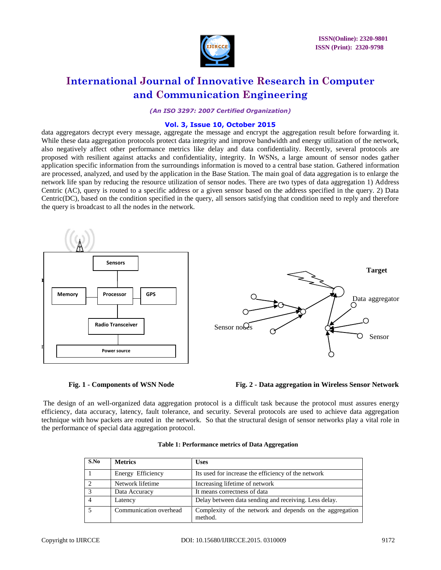

*(An ISO 3297: 2007 Certified Organization)*

# **Vol. 3, Issue 10, October 2015**

data aggregators decrypt every message, aggregate the message and encrypt the aggregation result before forwarding it. While these data aggregation protocols protect data integrity and improve bandwidth and energy utilization of the network, also negatively affect other performance metrics like delay and data confidentiality. Recently, several protocols are proposed with resilient against attacks and confidentiality, integrity. In WSNs, a large amount of sensor nodes gather application specific information from the surroundings information is moved to a central base station. Gathered information are processed, analyzed, and used by the application in the Base Station. The main goal of data aggregation is to enlarge the network life span by reducing the resource utilization of sensor nodes. There are two types of data aggregation 1) Address Centric (AC), query is routed to a specific address or a given sensor based on the address specified in the query. 2) Data Centric(DC), based on the condition specified in the query, all sensors satisfying that condition need to reply and therefore the query is broadcast to all the nodes in the network.





The design of an well-organized data aggregation protocol is a difficult task because the protocol must assures energy efficiency, data accuracy, latency, fault tolerance, and security. Several protocols are used to achieve data aggregation technique with how packets are routed in the network. So that the structural design of sensor networks play a vital role in the performance of special data aggregation protocol.

| S.No | <b>Metrics</b>         | <b>Uses</b>                                                         |
|------|------------------------|---------------------------------------------------------------------|
|      | Energy Efficiency      | Its used for increase the efficiency of the network                 |
|      | Network lifetime       | Increasing lifetime of network                                      |
|      | Data Accuracy          | It means correctness of data                                        |
|      | Latency                | Delay between data sending and receiving. Less delay.               |
|      | Communication overhead | Complexity of the network and depends on the aggregation<br>method. |

#### **Table 1: Performance metrics of Data Aggregation**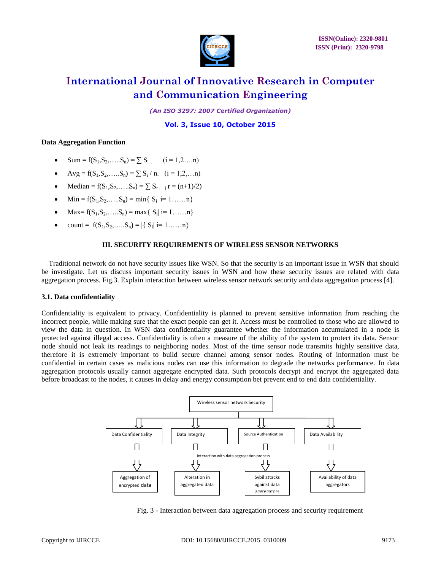

*(An ISO 3297: 2007 Certified Organization)*

**Vol. 3, Issue 10, October 2015**

### **Data Aggregation Function**

- $\bullet$   $\text{Sum} = f(S_1, S_2, \dots, S_n) = \sum S_i$   $(i = 1, 2, \dots, n)$
- Avg = f(S<sub>1</sub>,S<sub>2</sub>,....,S<sub>n</sub>) =  $\sum$  S<sub>i</sub> / n. (i = 1,2,...n)
- Median =  $f(S_1, S_2, \ldots, S_n) = \sum_{r} S_{r}$  ( $r = (n+1)/2$ )
- Min =  $f(S_1, S_2, \ldots, S_n) = \min\{S_i | i = 1, \ldots, n\}$
- Max=  $f(S_1, S_2, \ldots, S_n) = \max\{ |S_i| | i = 1, \ldots, n \}$
- count =  $f(S_1, S_2, \ldots, S_n) = |\{S_i | i = 1, \ldots, n\}|$

# **III. SECURITY REQUIREMENTS OF WIRELESS SENSOR NETWORKS**

Traditional network do not have security issues like WSN. So that the security is an important issue in WSN that should be investigate. Let us discuss important security issues in WSN and how these security issues are related with data aggregation process. Fig.3. Explain interaction between wireless sensor network security and data aggregation process [4].

# **3.1. Data confidentiality**

Confidentiality is equivalent to privacy. Confidentiality is planned to prevent sensitive information from reaching the incorrect people, while making sure that the exact people can get it. Access must be controlled to those who are allowed to view the data in question. In WSN data confidentiality guarantee whether the information accumulated in a node is protected against illegal access. Confidentiality is often a measure of the ability of the system to protect its data. Sensor node should not leak its readings to neighboring nodes. Most of the time sensor node transmits highly sensitive data, therefore it is extremely important to build secure channel among sensor nodes. Routing of information must be confidential in certain cases as malicious nodes can use this information to degrade the networks performance. In data aggregation protocols usually cannot aggregate encrypted data. Such protocols decrypt and encrypt the aggregated data before broadcast to the nodes, it causes in delay and energy consumption bet prevent end to end data confidentiality.



Fig. 3 - Interaction between data aggregation process and security requirement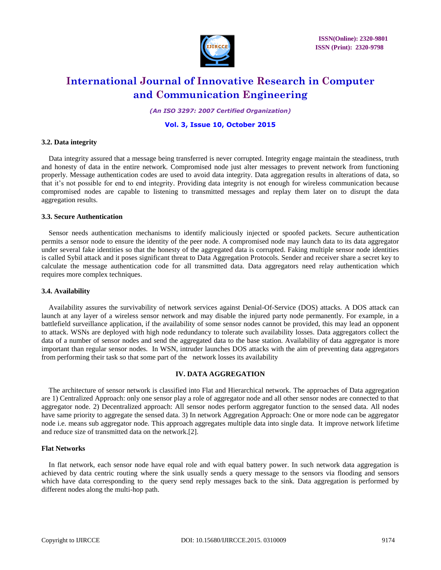

*(An ISO 3297: 2007 Certified Organization)*

### **Vol. 3, Issue 10, October 2015**

#### **3.2. Data integrity**

Data integrity assured that a message being transferred is never corrupted. Integrity engage maintain the steadiness, truth and honesty of data in the entire network. Compromised node just alter messages to prevent network from functioning properly. Message authentication codes are used to avoid data integrity. Data aggregation results in alterations of data, so that it's not possible for end to end integrity. Providing data integrity is not enough for wireless communication because compromised nodes are capable to listening to transmitted messages and replay them later on to disrupt the data aggregation results.

#### **3.3. Secure Authentication**

Sensor needs authentication mechanisms to identify maliciously injected or spoofed packets. Secure authentication permits a sensor node to ensure the identity of the peer node. A compromised node may launch data to its data aggregator under several fake identities so that the honesty of the aggregated data is corrupted. Faking multiple sensor node identities is called Sybil attack and it poses significant threat to Data Aggregation Protocols. Sender and receiver share a secret key to calculate the message authentication code for all transmitted data. Data aggregators need relay authentication which requires more complex techniques.

#### **3.4. Availability**

Availability assures the survivability of network services against Denial-Of-Service (DOS) attacks. A DOS attack can launch at any layer of a wireless sensor network and may disable the injured party node permanently. For example, in a battlefield surveillance application, if the availability of some sensor nodes cannot be provided, this may lead an opponent to attack. WSNs are deployed with high node redundancy to tolerate such availability losses. Data aggregators collect the data of a number of sensor nodes and send the aggregated data to the base station. Availability of data aggregator is more important than regular sensor nodes. In WSN, intruder launches DOS attacks with the aim of preventing data aggregators from performing their task so that some part of the network losses its availability

#### **IV. DATA AGGREGATION**

The architecture of sensor network is classified into Flat and Hierarchical network. The approaches of Data aggregation are 1) Centralized Approach: only one sensor play a role of aggregator node and all other sensor nodes are connected to that aggregator node. 2) Decentralized approach: All sensor nodes perform aggregator function to the sensed data. All nodes have same priority to aggregate the sensed data. 3) In network Aggregation Approach: One or more node can be aggregator node i.e. means sub aggregator node. This approach aggregates multiple data into single data. It improve network lifetime and reduce size of transmitted data on the network.[2].

#### **Flat Networks**

In flat network, each sensor node have equal role and with equal battery power. In such network data aggregation is achieved by data centric routing where the sink usually sends a query message to the sensors via flooding and sensors which have data corresponding to the query send reply messages back to the sink. Data aggregation is performed by different nodes along the multi-hop path.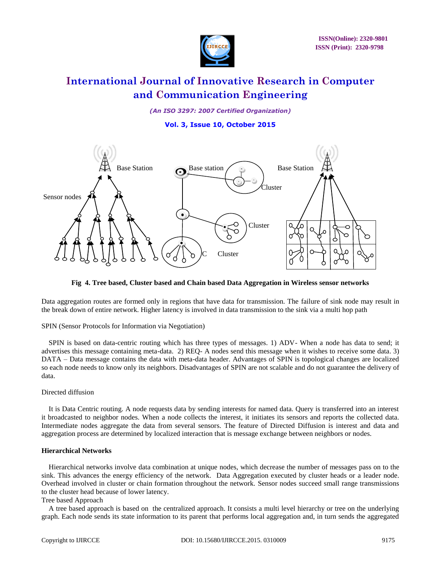

*(An ISO 3297: 2007 Certified Organization)*

**Vol. 3, Issue 10, October 2015**



**Fig 4. Tree based, Cluster based and Chain based Data Aggregation in Wireless sensor networks**

Data aggregation routes are formed only in regions that have data for transmission. The failure of sink node may result in the break down of entire network. Higher latency is involved in data transmission to the sink via a multi hop path

SPIN (Sensor Protocols for Information via Negotiation)

SPIN is based on data-centric routing which has three types of messages. 1) ADV- When a node has data to send; it advertises this message containing meta-data. 2) REQ- A nodes send this message when it wishes to receive some data. 3) DATA – Data message contains the data with meta-data header. Advantages of SPIN is topological changes are localized so each node needs to know only its neighbors. Disadvantages of SPIN are not scalable and do not guarantee the delivery of data.

# Directed diffusion

It is Data Centric routing. A node requests data by sending interests for named data. Query is transferred into an interest it broadcasted to neighbor nodes. When a node collects the interest, it initiates its sensors and reports the collected data. Intermediate nodes aggregate the data from several sensors. The feature of Directed Diffusion is interest and data and aggregation process are determined by localized interaction that is message exchange between neighbors or nodes.

### **Hierarchical Networks**

Hierarchical networks involve data combination at unique nodes, which decrease the number of messages pass on to the sink. This advances the energy efficiency of the network. Data Aggregation executed by cluster heads or a leader node. Overhead involved in cluster or chain formation throughout the network. Sensor nodes succeed small range transmissions to the cluster head because of lower latency.

#### Tree based Approach

A tree based approach is based on the centralized approach. It consists a multi level hierarchy or tree on the underlying graph. Each node sends its state information to its parent that performs local aggregation and, in turn sends the aggregated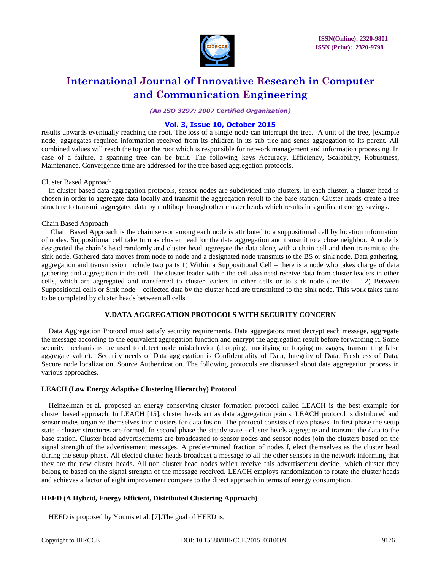

*(An ISO 3297: 2007 Certified Organization)*

# **Vol. 3, Issue 10, October 2015**

results upwards eventually reaching the root. The loss of a single node can interrupt the tree. A unit of the tree, [example node] aggregates required information received from its children in its sub tree and sends aggregation to its parent. All combined values will reach the top or the root which is responsible for network management and information processing. In case of a failure, a spanning tree can be built. The following keys Accuracy, Efficiency, Scalability, Robustness, Maintenance, Convergence time are addressed for the tree based aggregation protocols.

#### Cluster Based Approach

In cluster based data aggregation protocols, sensor nodes are subdivided into clusters. In each cluster, a cluster head is chosen in order to aggregate data locally and transmit the aggregation result to the base station. Cluster heads create a tree structure to transmit aggregated data by multihop through other cluster heads which results in significant energy savings.

#### Chain Based Approach

Chain Based Approach is the chain sensor among each node is attributed to a suppositional cell by location information of nodes. Suppositional cell take turn as cluster head for the data aggregation and transmit to a close neighbor. A node is designated the chain's head randomly and cluster head aggregate the data along with a chain cell and then transmit to the sink node. Gathered data moves from node to node and a designated node transmits to the BS or sink node. Data gathering, aggregation and transmission include two parts 1) Within a Suppositional Cell – there is a node who takes charge of data gathering and aggregation in the cell. The cluster leader within the cell also need receive data from cluster leaders in other cells, which are aggregated and transferred to cluster leaders in other cells or to sink node directly. 2) Between Suppositional cells or Sink node – collected data by the cluster head are transmitted to the sink node. This work takes turns to be completed by cluster heads between all cells

### **V.DATA AGGREGATION PROTOCOLS WITH SECURITY CONCERN**

Data Aggregation Protocol must satisfy security requirements. Data aggregators must decrypt each message, aggregate the message according to the equivalent aggregation function and encrypt the aggregation result before forwarding it. Some security mechanisms are used to detect node misbehavior (dropping, modifying or forging messages, transmitting false aggregate value). Security needs of Data aggregation is Confidentiality of Data, Integrity of Data, Freshness of Data, Secure node localization, Source Authentication. The following protocols are discussed about data aggregation process in various approaches.

#### **LEACH (Low Energy Adaptive Clustering Hierarchy) Protocol**

Heinzelman et al. proposed an energy conserving cluster formation protocol called LEACH is the best example for cluster based approach. In LEACH [15], cluster heads act as data aggregation points. LEACH protocol is distributed and sensor nodes organize themselves into clusters for data fusion. The protocol consists of two phases. In first phase the setup state - cluster structures are formed. In second phase the steady state - cluster heads aggregate and transmit the data to the base station. Cluster head advertisements are broadcasted to sensor nodes and sensor nodes join the clusters based on the signal strength of the advertisement messages. A predetermined fraction of nodes f, elect themselves as the cluster head during the setup phase. All elected cluster heads broadcast a message to all the other sensors in the network informing that they are the new cluster heads. All non cluster head nodes which receive this advertisement decide which cluster they belong to based on the signal strength of the message received. LEACH employs randomization to rotate the cluster heads and achieves a factor of eight improvement compare to the direct approach in terms of energy consumption.

#### **HEED (A Hybrid, Energy Efficient, Distributed Clustering Approach)**

HEED is proposed by Younis et al. [7].The goal of HEED is,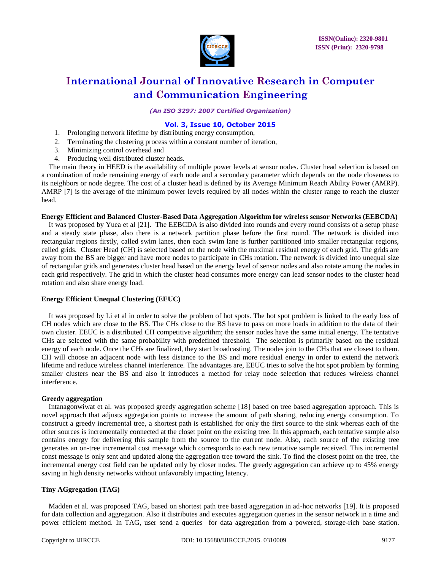

*(An ISO 3297: 2007 Certified Organization)*

### **Vol. 3, Issue 10, October 2015**

- 1. Prolonging network lifetime by distributing energy consumption,
- 2. Terminating the clustering process within a constant number of iteration,
- 3. Minimizing control overhead and
- 4. Producing well distributed cluster heads.

The main theory in HEED is the availability of multiple power levels at sensor nodes. Cluster head selection is based on a combination of node remaining energy of each node and a secondary parameter which depends on the node closeness to its neighbors or node degree. The cost of a cluster head is defined by its Average Minimum Reach Ability Power (AMRP). AMRP [7] is the average of the minimum power levels required by all nodes within the cluster range to reach the cluster head.

#### **Energy Efficient and Balanced Cluster-Based Data Aggregation Algorithm for wireless sensor Networks (EEBCDA)**

It was proposed by Yuea et al [21]. The EEBCDA is also divided into rounds and every round consists of a setup phase and a steady state phase, also there is a network partition phase before the first round. The network is divided into rectangular regions firstly, called swim lanes, then each swim lane is further partitioned into smaller rectangular regions, called grids. Cluster Head (CH) is selected based on the node with the maximal residual energy of each grid. The grids are away from the BS are bigger and have more nodes to participate in CHs rotation. The network is divided into unequal size of rectangular grids and generates cluster head based on the energy level of sensor nodes and also rotate among the nodes in each grid respectively. The grid in which the cluster head consumes more energy can lead sensor nodes to the cluster head rotation and also share energy load.

#### **Energy Efficient Unequal Clustering (EEUC)**

It was proposed by Li et al in order to solve the problem of hot spots. The hot spot problem is linked to the early loss of CH nodes which are close to the BS. The CHs close to the BS have to pass on more loads in addition to the data of their own cluster. EEUC is a distributed CH competitive algorithm; the sensor nodes have the same initial energy. The tentative CHs are selected with the same probability with predefined threshold. The selection is primarily based on the residual energy of each node. Once the CHs are finalized, they start broadcasting. The nodes join to the CHs that are closest to them. CH will choose an adjacent node with less distance to the BS and more residual energy in order to extend the network lifetime and reduce wireless channel interference. The advantages are, EEUC tries to solve the hot spot problem by forming smaller clusters near the BS and also it introduces a method for relay node selection that reduces wireless channel interference.

#### **Greedy aggregation**

Intanagonwiwat et al. was proposed greedy aggregation scheme [18] based on tree based aggregation approach. This is novel approach that adjusts aggregation points to increase the amount of path sharing, reducing energy consumption. To construct a greedy incremental tree, a shortest path is established for only the first source to the sink whereas each of the other sources is incrementally connected at the closet point on the existing tree. In this approach, each tentative sample also contains energy for delivering this sample from the source to the current node. Also, each source of the existing tree generates an on-tree incremental cost message which corresponds to each new tentative sample received. This incremental const message is only sent and updated along the aggregation tree toward the sink. To find the closest point on the tree, the incremental energy cost field can be updated only by closer nodes. The greedy aggregation can achieve up to 45% energy saving in high density networks without unfavorably impacting latency.

### **Tiny AGgregation (TAG)**

Madden et al. was proposed TAG, based on shortest path tree based aggregation in ad-hoc networks [19]. It is proposed for data collection and aggregation. Also it distributes and executes aggregation queries in the sensor network in a time and power efficient method. In TAG, user send a queries for data aggregation from a powered, storage-rich base station.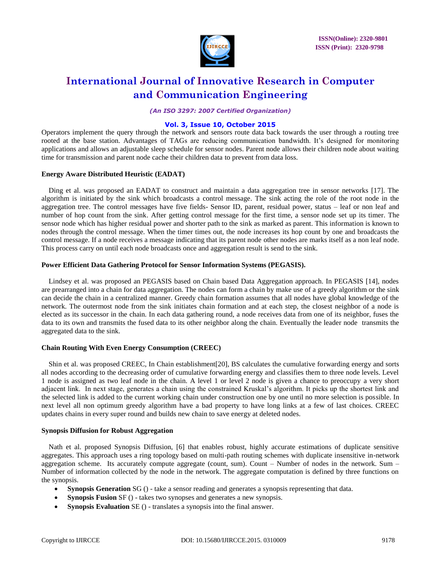

*(An ISO 3297: 2007 Certified Organization)*

# **Vol. 3, Issue 10, October 2015**

Operators implement the query through the network and sensors route data back towards the user through a routing tree rooted at the base station. Advantages of TAGs are reducing communication bandwidth. It's designed for monitoring applications and allows an adjustable sleep schedule for sensor nodes. Parent node allows their children node about waiting time for transmission and parent node cache their children data to prevent from data loss.

# **Energy Aware Distributed Heuristic (EADAT)**

Ding et al. was proposed an EADAT to construct and maintain a data aggregation tree in sensor networks [17]. The algorithm is initiated by the sink which broadcasts a control message. The sink acting the role of the root node in the aggregation tree. The control messages have five fields- Sensor ID, parent, residual power, status – leaf or non leaf and number of hop count from the sink. After getting control message for the first time, a sensor node set up its timer. The sensor node which has higher residual power and shorter path to the sink as marked as parent. This information is known to nodes through the control message. When the timer times out, the node increases its hop count by one and broadcasts the control message. If a node receives a message indicating that its parent node other nodes are marks itself as a non leaf node. This process carry on until each node broadcasts once and aggregation result is send to the sink.

### **Power Efficient Data Gathering Protocol for Sensor Information Systems (PEGASIS).**

Lindsey et al. was proposed an PEGASIS based on Chain based Data Aggregation approach. In PEGASIS [14], nodes are prearranged into a chain for data aggregation. The nodes can form a chain by make use of a greedy algorithm or the sink can decide the chain in a centralized manner. Greedy chain formation assumes that all nodes have global knowledge of the network. The outermost node from the sink initiates chain formation and at each step, the closest neighbor of a node is elected as its successor in the chain. In each data gathering round, a node receives data from one of its neighbor, fuses the data to its own and transmits the fused data to its other neighbor along the chain. Eventually the leader node transmits the aggregated data to the sink.

# **Chain Routing With Even Energy Consumption (CREEC)**

Shin et al. was proposed CREEC, In Chain establishment[20], BS calculates the cumulative forwarding energy and sorts all nodes according to the decreasing order of cumulative forwarding energy and classifies them to three node levels. Level 1 node is assigned as two leaf node in the chain. A level 1 or level 2 node is given a chance to preoccupy a very short adjacent link. In next stage, generates a chain using the constrained Kruskal's algorithm. It picks up the shortest link and the selected link is added to the current working chain under construction one by one until no more selection is possible. In next level all non optimum greedy algorithm have a bad property to have long links at a few of last choices. CREEC updates chains in every super round and builds new chain to save energy at deleted nodes.

#### **Synopsis Diffusion for Robust Aggregation**

Nath et al. proposed Synopsis Diffusion, [6] that enables robust, highly accurate estimations of duplicate sensitive aggregates. This approach uses a ring topology based on multi-path routing schemes with duplicate insensitive in-network aggregation scheme. Its accurately compute aggregate (count, sum). Count – Number of nodes in the network. Sum – Number of information collected by the node in the network. The aggregate computation is defined by three functions on the synopsis.

- **Synopsis Generation** SG () take a sensor reading and generates a synopsis representing that data.
- **Synopsis Fusion** SF () takes two synopses and generates a new synopsis.
- **Synopsis Evaluation** SE () translates a synopsis into the final answer.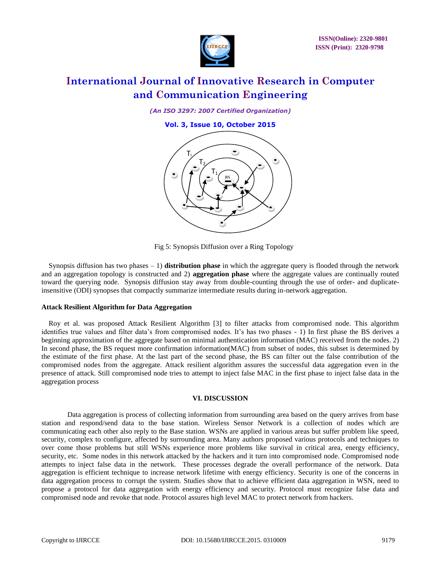

*(An ISO 3297: 2007 Certified Organization)*

**Vol. 3, Issue 10, October 2015**



Fig 5: Synopsis Diffusion over a Ring Topology

Synopsis diffusion has two phases – 1) **distribution phase** in which the aggregate query is flooded through the network and an aggregation topology is constructed and 2) **aggregation phase** where the aggregate values are continually routed toward the querying node. Synopsis diffusion stay away from double-counting through the use of order- and duplicateinsensitive (ODI) synopses that compactly summarize intermediate results during in-network aggregation.

#### **Attack Resilient Algorithm for Data Aggregation**

Roy et al. was proposed Attack Resilient Algorithm [3] to filter attacks from compromised node. This algorithm identifies true values and filter data's from compromised nodes. It's has two phases - 1) In first phase the BS derives a beginning approximation of the aggregate based on minimal authentication information (MAC) received from the nodes. 2) In second phase, the BS request more confirmation information(MAC) from subset of nodes, this subset is determined by the estimate of the first phase. At the last part of the second phase, the BS can filter out the false contribution of the compromised nodes from the aggregate. Attack resilient algorithm assures the successful data aggregation even in the presence of attack. Still compromised node tries to attempt to inject false MAC in the first phase to inject false data in the aggregation process

#### **VI. DISCUSSION**

Data aggregation is process of collecting information from surrounding area based on the query arrives from base station and respond/send data to the base station. Wireless Sensor Network is a collection of nodes which are communicating each other also reply to the Base station. WSNs are applied in various areas but suffer problem like speed, security, complex to configure, affected by surrounding area. Many authors proposed various protocols and techniques to over come those problems but still WSNs experience more problems like survival in critical area, energy efficiency, security, etc. Some nodes in this network attacked by the hackers and it turn into compromised node. Compromised node attempts to inject false data in the network. These processes degrade the overall performance of the network. Data aggregation is efficient technique to increase network lifetime with energy efficiency. Security is one of the concerns in data aggregation process to corrupt the system. Studies show that to achieve efficient data aggregation in WSN, need to propose a protocol for data aggregation with energy efficiency and security. Protocol must recognize false data and compromised node and revoke that node. Protocol assures high level MAC to protect network from hackers.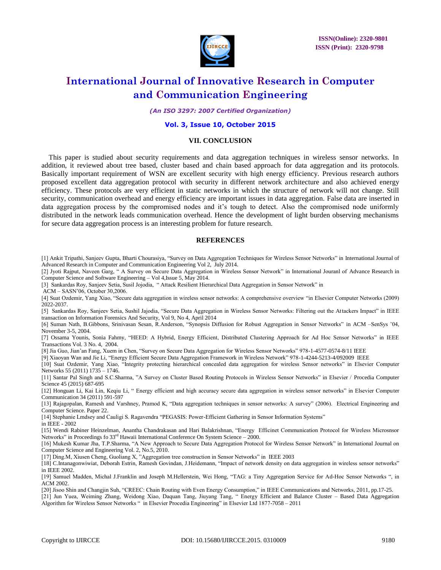

*(An ISO 3297: 2007 Certified Organization)*

#### **Vol. 3, Issue 10, October 2015**

#### **VII. CONCLUSION**

This paper is studied about security requirements and data aggregation techniques in wireless sensor networks. In addition, it reviewed about tree based, cluster based and chain based approach for data aggregation and its protocols. Basically important requirement of WSN are excellent security with high energy efficiency. Previous research authors proposed excellent data aggregation protocol with security in different network architecture and also achieved energy efficiency. These protocols are very efficient in static networks in which the structure of network will not change. Still security, communication overhead and energy efficiency are important issues in data aggregation. False data are inserted in data aggregation process by the compromised nodes and it's tough to detect. Also the compromised node uniformly distributed in the network leads communication overhead. Hence the development of light burden observing mechanisms for secure data aggregation process is an interesting problem for future research.

#### **REFERENCES**

[1] Ankit Tripathi, Sanjeev Gupta, Bharti Chourasiya, "Survey on Data Aggregation Techniques for Wireless Sensor Networks" in International Journal of Advanced Research in Computer and Communication Engineering Vol 2, July 2014.

[2] Jyoti Rajput, Naveen Garg, " A Survey on Secure Data Aggregation in Wireless Sensor Network" in International Jouranl of Advance Research in Computer Science and Software Engineering – Vol 4,Issue 5, May 2014.

[3] Sankardas Roy, Sanjeev Setia, Susil Jojodia, " Attack Resilient Hierarchical Data Aggregation in Sensor Network" in

ACM – SASN'06, October 30,2006.

[4] Suat Ozdemir, Yang Xiao, "Secure data aggregation in wireless sensor networks: A comprehensive overview "in Elsevier Computer Networks (2009) 2022-2037.

[5] Sankardas Roy, Sanjeev Setia, Sushil Jajodia, "Secure Data Aggregation in Wireless Sensor Networks: Filtering out the Attackers Impact" in IEEE transaction on Information Forensics And Security, Vol 9, No 4, April 2014

[6] Suman Nath, B.Gibbons, Srinivasan Sesan, R.Anderson, "Synopsis Diffusion for Robust Aggregation in Sensor Networks" in ACM –SenSys '04, November 3-5, 2004.

[7] Ossama Younis, Sonia Fahmy, "HEED: A Hybrid, Energy Efficient, Distributed Clustering Approach for Ad Hoc Sensor Networks" in IEEE Transactions Vol. 3 No. 4, 2004.

[8] Jia Guo, Jian'an Fang, Xuem in Chen, "Survey on Secure Data Aggregation for Wireless Sensor Networks" 978-1-4577-0574-8/11 IEEE

[9] Xiaoyan Wan and Jie Li, "Energy Efficient Secure Data Aggregation Framework in Wireless Network" 978-1-4244-5213-4/092009 IEEE

[10] Suat Ozdemir, Yang Xiao, "Integrity protecting hierarchical concealed data aggregation for wireless Sensor networks" in Elsevier Computer Networks 55 (2011) 1735 – 1746.

[11] Santar Pal Singh and S.C.Sharma, "A Survey on Cluster Based Routing Protocols in Wireless Sensor Networks" in Elsevier / Procedia Computer Science 45 (2015) 687-695

[12] Honguan Li, Kai Lin, Keqiu Li, " Energy efficient and high accuracy secure data aggregation in wireless sensor networks" in Elsevier Computer Communication 34 (2011) 591-597

[13] Rajagopalan, Ramesh and Varshney, Pramod K, "Data aggregation techniques in sensor networks: A survey" (2006). Electrical Engineering and Computer Science. Paper 22.

[14] Stephanie Lmdsey and Cauligi S. Ragavendra "PEGASIS: Power-Efficient Gathering in Sensor Information Systems"

in IEEE - 2002

[15] Wendi Rabiner Heinzelman, Anantha Chandrakasan and Hari Balakrishnan, "Energy Efficinet Communication Protocol for Wireless Microsnsor Networks" in Proceedings fo  $33<sup>rd</sup>$  Hawaii International Conference On System Science – 2000.

[16] Mukesh Kumar Jha, T.P.Sharma, "A New Approach to Secure Data Aggregation Protocol for Wireless Sensor Network" in International Journal on Computer Science and Engineering Vol. 2, No.5, 2010.

[17] Ding.M, Xiusen Cheng, Guoliang X, "Aggregation tree construction in Sensor Networks" in IEEE 2003

[18] C.Intanagonwiwiat, Deborah Estrin, Ramesh Govindan, J.Heidemann, "Impact of network density on data aggregation in wireless sensor networks" in IEEE 2002.

[19] Samuel Madden, Michal J.Franklin and Joseph M.Hellerstein, Wei Hong, "TAG: a Tiny Aggregation Service for Ad-Hoc Sensor Networks ", in ACM 2002.

[20] Jisoo Shin and Changjin Suh, "CREEC: Chain Routing with Even Energy Consumption," in IEEE Communications and Networks, 2011, pp.17-25.

[21] Jun Yuea, Weiming Zhang, Weidong Xiao, Daquan Tang, Jiuyang Tang, " Energy Efficient and Balance Cluster – Based Data Aggregation Algorithm for Wireless Sensor Networks " in Elsevier Procedia Engineering" in Elsevier Ltd 1877-7058 – 2011